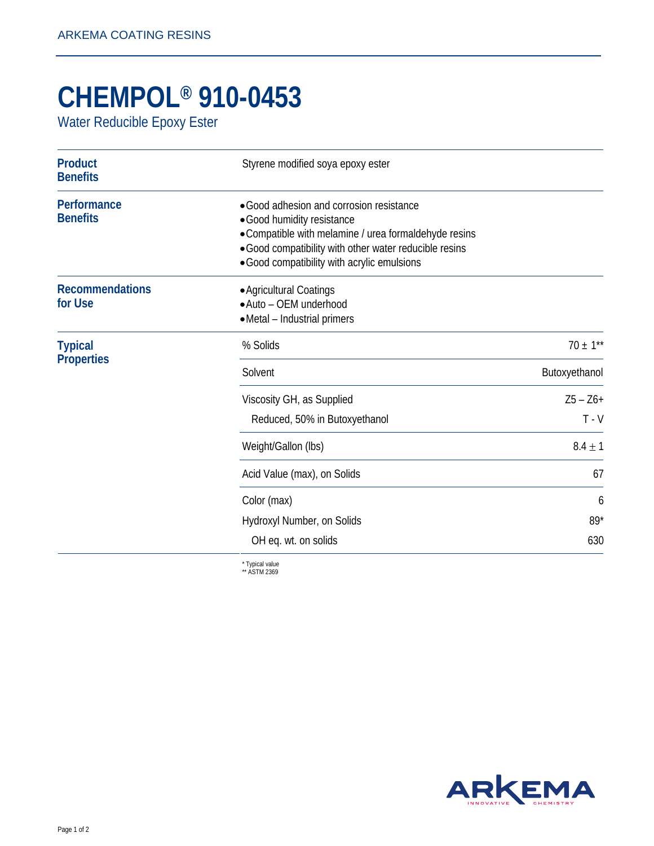## **CHEMPOL® 910-0453**

Water Reducible Epoxy Ester

| <b>Product</b><br><b>Benefits</b>   | Styrene modified soya epoxy ester                                                                                                                                                                                                        |                        |
|-------------------------------------|------------------------------------------------------------------------------------------------------------------------------------------------------------------------------------------------------------------------------------------|------------------------|
| Performance<br><b>Benefits</b>      | • Good adhesion and corrosion resistance<br>• Good humidity resistance<br>• Compatible with melamine / urea formaldehyde resins<br>· Good compatibility with other water reducible resins<br>• Good compatibility with acrylic emulsions |                        |
| <b>Recommendations</b><br>for Use   | • Agricultural Coatings<br>• Auto - OEM underhood<br>• Metal - Industrial primers                                                                                                                                                        |                        |
| <b>Typical</b><br><b>Properties</b> | % Solids                                                                                                                                                                                                                                 | $70 \pm 1**$           |
|                                     | Solvent                                                                                                                                                                                                                                  | Butoxyethanol          |
|                                     | Viscosity GH, as Supplied<br>Reduced, 50% in Butoxyethanol                                                                                                                                                                               | $Z5 - Z6 +$<br>$T - V$ |
|                                     | Weight/Gallon (lbs)                                                                                                                                                                                                                      | $8.4 \pm 1$            |
|                                     | Acid Value (max), on Solids                                                                                                                                                                                                              | 67                     |
|                                     | Color (max)                                                                                                                                                                                                                              | 6                      |
|                                     | Hydroxyl Number, on Solids                                                                                                                                                                                                               | $89*$                  |
|                                     | OH eq. wt. on solids                                                                                                                                                                                                                     | 630                    |
|                                     | $*$ Tunical value                                                                                                                                                                                                                        |                        |

\* Typical value \*\* ASTM 2369